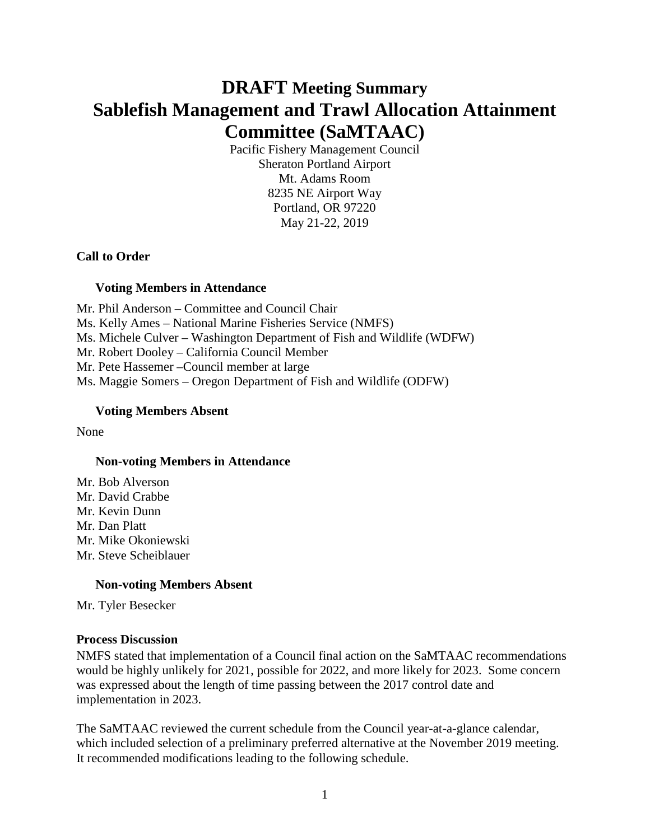# **DRAFT Meeting Summary Sablefish Management and Trawl Allocation Attainment Committee (SaMTAAC)**

Pacific Fishery Management Council Sheraton Portland Airport Mt. Adams Room 8235 NE Airport Way Portland, OR 97220 May 21-22, 2019

## **Call to Order**

## **Voting Members in Attendance**

Mr. Phil Anderson – Committee and Council Chair Ms. Kelly Ames – National Marine Fisheries Service (NMFS) Ms. Michele Culver – Washington Department of Fish and Wildlife (WDFW) Mr. Robert Dooley – California Council Member Mr. Pete Hassemer –Council member at large Ms. Maggie Somers – Oregon Department of Fish and Wildlife (ODFW)

## **Voting Members Absent**

None

### **Non-voting Members in Attendance**

Mr. Bob Alverson Mr. David Crabbe Mr. Kevin Dunn Mr. Dan Platt Mr. Mike Okoniewski Mr. Steve Scheiblauer

### **Non-voting Members Absent**

Mr. Tyler Besecker

### **Process Discussion**

NMFS stated that implementation of a Council final action on the SaMTAAC recommendations would be highly unlikely for 2021, possible for 2022, and more likely for 2023. Some concern was expressed about the length of time passing between the 2017 control date and implementation in 2023.

The SaMTAAC reviewed the current schedule from the Council year-at-a-glance calendar, which included selection of a preliminary preferred alternative at the November 2019 meeting. It recommended modifications leading to the following schedule.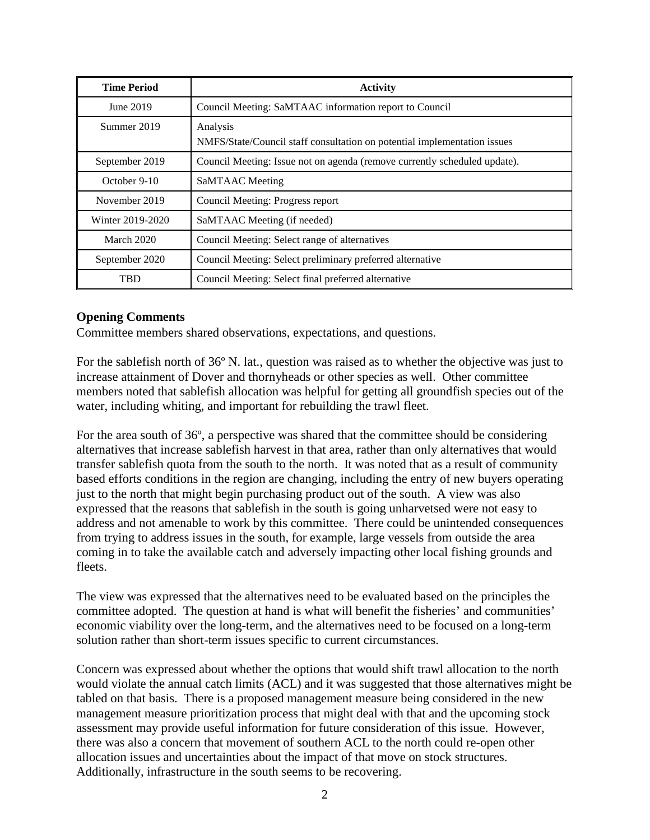| <b>Time Period</b> | <b>Activity</b>                                                                      |
|--------------------|--------------------------------------------------------------------------------------|
| June 2019          | Council Meeting: SaMTAAC information report to Council                               |
| Summer 2019        | Analysis<br>NMFS/State/Council staff consultation on potential implementation issues |
| September 2019     | Council Meeting: Issue not on agenda (remove currently scheduled update).            |
| October 9-10       | SaMTAAC Meeting                                                                      |
| November 2019      | Council Meeting: Progress report                                                     |
| Winter 2019-2020   | SaMTAAC Meeting (if needed)                                                          |
| March 2020         | Council Meeting: Select range of alternatives                                        |
| September 2020     | Council Meeting: Select preliminary preferred alternative                            |
| TBD                | Council Meeting: Select final preferred alternative                                  |

## **Opening Comments**

Committee members shared observations, expectations, and questions.

For the sablefish north of 36º N. lat., question was raised as to whether the objective was just to increase attainment of Dover and thornyheads or other species as well. Other committee members noted that sablefish allocation was helpful for getting all groundfish species out of the water, including whiting, and important for rebuilding the trawl fleet.

For the area south of 36º, a perspective was shared that the committee should be considering alternatives that increase sablefish harvest in that area, rather than only alternatives that would transfer sablefish quota from the south to the north. It was noted that as a result of community based efforts conditions in the region are changing, including the entry of new buyers operating just to the north that might begin purchasing product out of the south. A view was also expressed that the reasons that sablefish in the south is going unharvetsed were not easy to address and not amenable to work by this committee. There could be unintended consequences from trying to address issues in the south, for example, large vessels from outside the area coming in to take the available catch and adversely impacting other local fishing grounds and fleets.

The view was expressed that the alternatives need to be evaluated based on the principles the committee adopted. The question at hand is what will benefit the fisheries' and communities' economic viability over the long-term, and the alternatives need to be focused on a long-term solution rather than short-term issues specific to current circumstances.

Concern was expressed about whether the options that would shift trawl allocation to the north would violate the annual catch limits (ACL) and it was suggested that those alternatives might be tabled on that basis. There is a proposed management measure being considered in the new management measure prioritization process that might deal with that and the upcoming stock assessment may provide useful information for future consideration of this issue. However, there was also a concern that movement of southern ACL to the north could re-open other allocation issues and uncertainties about the impact of that move on stock structures. Additionally, infrastructure in the south seems to be recovering.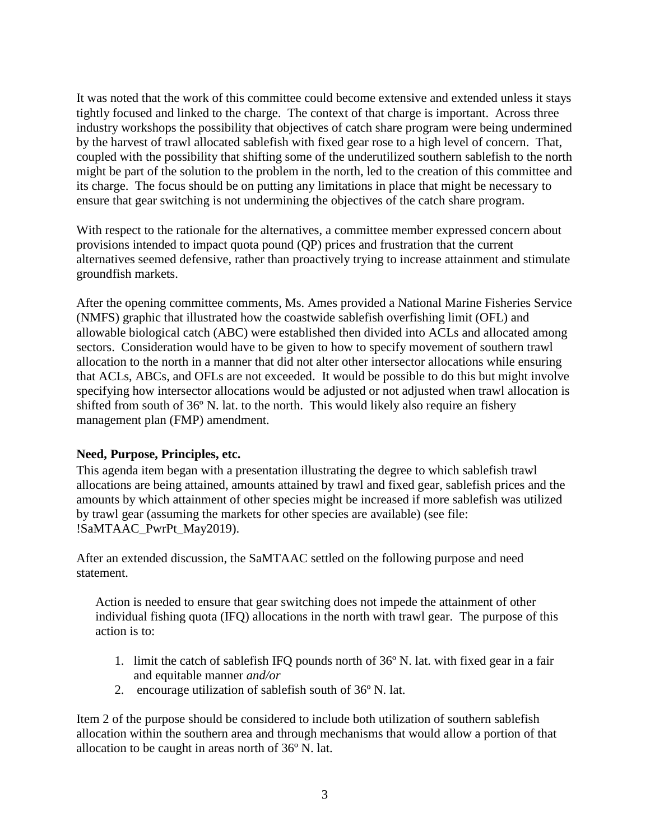It was noted that the work of this committee could become extensive and extended unless it stays tightly focused and linked to the charge. The context of that charge is important. Across three industry workshops the possibility that objectives of catch share program were being undermined by the harvest of trawl allocated sablefish with fixed gear rose to a high level of concern. That, coupled with the possibility that shifting some of the underutilized southern sablefish to the north might be part of the solution to the problem in the north, led to the creation of this committee and its charge. The focus should be on putting any limitations in place that might be necessary to ensure that gear switching is not undermining the objectives of the catch share program.

With respect to the rationale for the alternatives, a committee member expressed concern about provisions intended to impact quota pound (QP) prices and frustration that the current alternatives seemed defensive, rather than proactively trying to increase attainment and stimulate groundfish markets.

After the opening committee comments, Ms. Ames provided a National Marine Fisheries Service (NMFS) graphic that illustrated how the coastwide sablefish overfishing limit (OFL) and allowable biological catch (ABC) were established then divided into ACLs and allocated among sectors. Consideration would have to be given to how to specify movement of southern trawl allocation to the north in a manner that did not alter other intersector allocations while ensuring that ACLs, ABCs, and OFLs are not exceeded. It would be possible to do this but might involve specifying how intersector allocations would be adjusted or not adjusted when trawl allocation is shifted from south of 36º N. lat. to the north. This would likely also require an fishery management plan (FMP) amendment.

# **Need, Purpose, Principles, etc.**

This agenda item began with a presentation illustrating the degree to which sablefish trawl allocations are being attained, amounts attained by trawl and fixed gear, sablefish prices and the amounts by which attainment of other species might be increased if more sablefish was utilized by trawl gear (assuming the markets for other species are available) (see file: !SaMTAAC\_PwrPt\_May2019).

After an extended discussion, the SaMTAAC settled on the following purpose and need statement.

Action is needed to ensure that gear switching does not impede the attainment of other individual fishing quota (IFQ) allocations in the north with trawl gear. The purpose of this action is to:

- 1. limit the catch of sablefish IFQ pounds north of 36º N. lat. with fixed gear in a fair and equitable manner *and/or*
- 2. encourage utilization of sablefish south of 36º N. lat.

Item 2 of the purpose should be considered to include both utilization of southern sablefish allocation within the southern area and through mechanisms that would allow a portion of that allocation to be caught in areas north of 36º N. lat.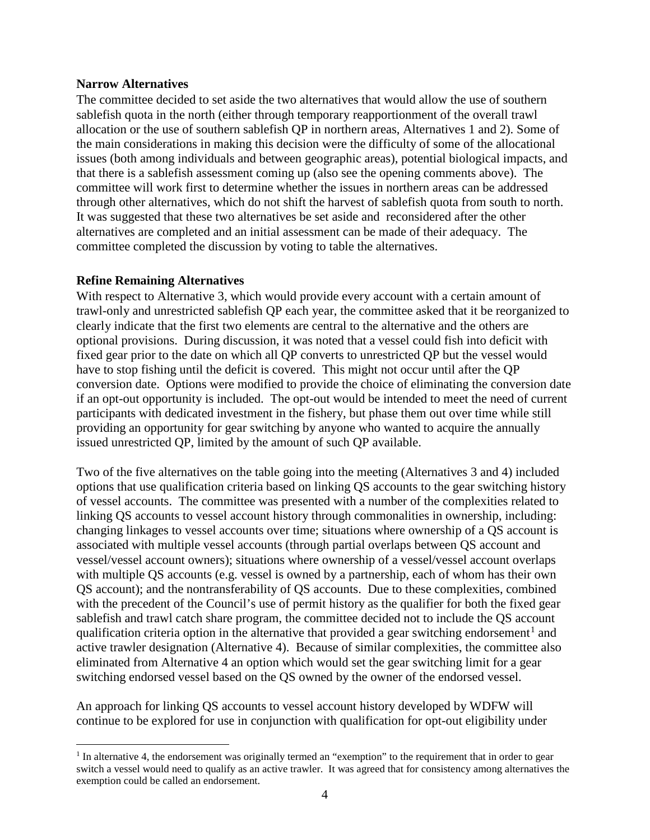### **Narrow Alternatives**

The committee decided to set aside the two alternatives that would allow the use of southern sablefish quota in the north (either through temporary reapportionment of the overall trawl allocation or the use of southern sablefish QP in northern areas, Alternatives 1 and 2). Some of the main considerations in making this decision were the difficulty of some of the allocational issues (both among individuals and between geographic areas), potential biological impacts, and that there is a sablefish assessment coming up (also see the opening comments above). The committee will work first to determine whether the issues in northern areas can be addressed through other alternatives, which do not shift the harvest of sablefish quota from south to north. It was suggested that these two alternatives be set aside and reconsidered after the other alternatives are completed and an initial assessment can be made of their adequacy. The committee completed the discussion by voting to table the alternatives.

### **Refine Remaining Alternatives**

With respect to Alternative 3, which would provide every account with a certain amount of trawl-only and unrestricted sablefish QP each year, the committee asked that it be reorganized to clearly indicate that the first two elements are central to the alternative and the others are optional provisions. During discussion, it was noted that a vessel could fish into deficit with fixed gear prior to the date on which all QP converts to unrestricted QP but the vessel would have to stop fishing until the deficit is covered. This might not occur until after the QP conversion date. Options were modified to provide the choice of eliminating the conversion date if an opt-out opportunity is included. The opt-out would be intended to meet the need of current participants with dedicated investment in the fishery, but phase them out over time while still providing an opportunity for gear switching by anyone who wanted to acquire the annually issued unrestricted QP, limited by the amount of such QP available.

Two of the five alternatives on the table going into the meeting (Alternatives 3 and 4) included options that use qualification criteria based on linking QS accounts to the gear switching history of vessel accounts. The committee was presented with a number of the complexities related to linking QS accounts to vessel account history through commonalities in ownership, including: changing linkages to vessel accounts over time; situations where ownership of a QS account is associated with multiple vessel accounts (through partial overlaps between QS account and vessel/vessel account owners); situations where ownership of a vessel/vessel account overlaps with multiple QS accounts (e.g. vessel is owned by a partnership, each of whom has their own QS account); and the nontransferability of QS accounts. Due to these complexities, combined with the precedent of the Council's use of permit history as the qualifier for both the fixed gear sablefish and trawl catch share program, the committee decided not to include the QS account qualification criteria option in the alternative that provided a gear switching endorsement<sup>[1](#page-3-0)</sup> and active trawler designation (Alternative 4). Because of similar complexities, the committee also eliminated from Alternative 4 an option which would set the gear switching limit for a gear switching endorsed vessel based on the QS owned by the owner of the endorsed vessel.

An approach for linking QS accounts to vessel account history developed by WDFW will continue to be explored for use in conjunction with qualification for opt-out eligibility under

<span id="page-3-0"></span><sup>&</sup>lt;sup>1</sup> In alternative 4, the endorsement was originally termed an "exemption" to the requirement that in order to gear switch a vessel would need to qualify as an active trawler. It was agreed that for consistency among alternatives the exemption could be called an endorsement.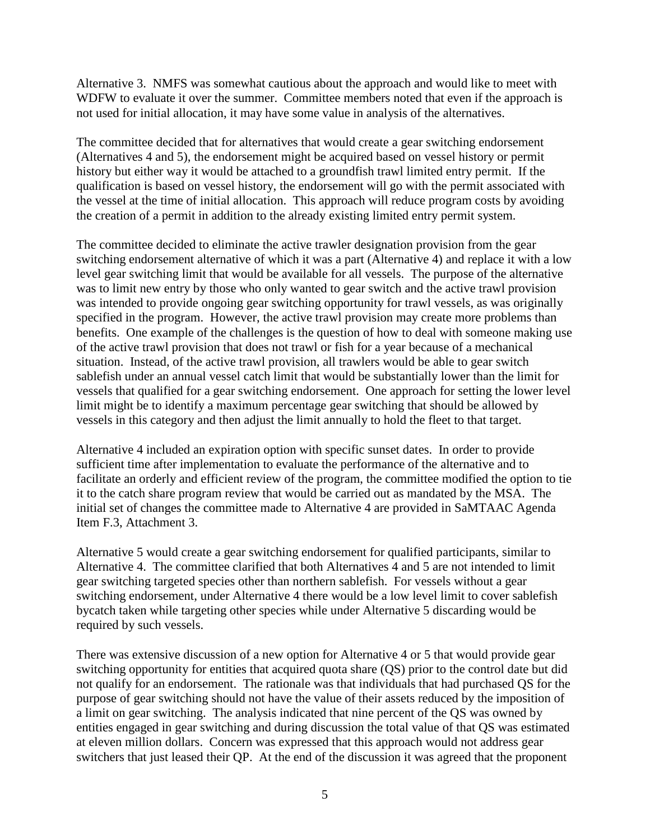Alternative 3. NMFS was somewhat cautious about the approach and would like to meet with WDFW to evaluate it over the summer. Committee members noted that even if the approach is not used for initial allocation, it may have some value in analysis of the alternatives.

The committee decided that for alternatives that would create a gear switching endorsement (Alternatives 4 and 5), the endorsement might be acquired based on vessel history or permit history but either way it would be attached to a groundfish trawl limited entry permit. If the qualification is based on vessel history, the endorsement will go with the permit associated with the vessel at the time of initial allocation. This approach will reduce program costs by avoiding the creation of a permit in addition to the already existing limited entry permit system.

The committee decided to eliminate the active trawler designation provision from the gear switching endorsement alternative of which it was a part (Alternative 4) and replace it with a low level gear switching limit that would be available for all vessels. The purpose of the alternative was to limit new entry by those who only wanted to gear switch and the active trawl provision was intended to provide ongoing gear switching opportunity for trawl vessels, as was originally specified in the program. However, the active trawl provision may create more problems than benefits. One example of the challenges is the question of how to deal with someone making use of the active trawl provision that does not trawl or fish for a year because of a mechanical situation. Instead, of the active trawl provision, all trawlers would be able to gear switch sablefish under an annual vessel catch limit that would be substantially lower than the limit for vessels that qualified for a gear switching endorsement. One approach for setting the lower level limit might be to identify a maximum percentage gear switching that should be allowed by vessels in this category and then adjust the limit annually to hold the fleet to that target.

Alternative 4 included an expiration option with specific sunset dates. In order to provide sufficient time after implementation to evaluate the performance of the alternative and to facilitate an orderly and efficient review of the program, the committee modified the option to tie it to the catch share program review that would be carried out as mandated by the MSA. The initial set of changes the committee made to Alternative 4 are provided in SaMTAAC Agenda Item F.3, Attachment 3.

Alternative 5 would create a gear switching endorsement for qualified participants, similar to Alternative 4. The committee clarified that both Alternatives 4 and 5 are not intended to limit gear switching targeted species other than northern sablefish. For vessels without a gear switching endorsement, under Alternative 4 there would be a low level limit to cover sablefish bycatch taken while targeting other species while under Alternative 5 discarding would be required by such vessels.

There was extensive discussion of a new option for Alternative 4 or 5 that would provide gear switching opportunity for entities that acquired quota share (QS) prior to the control date but did not qualify for an endorsement. The rationale was that individuals that had purchased QS for the purpose of gear switching should not have the value of their assets reduced by the imposition of a limit on gear switching. The analysis indicated that nine percent of the QS was owned by entities engaged in gear switching and during discussion the total value of that QS was estimated at eleven million dollars. Concern was expressed that this approach would not address gear switchers that just leased their QP. At the end of the discussion it was agreed that the proponent